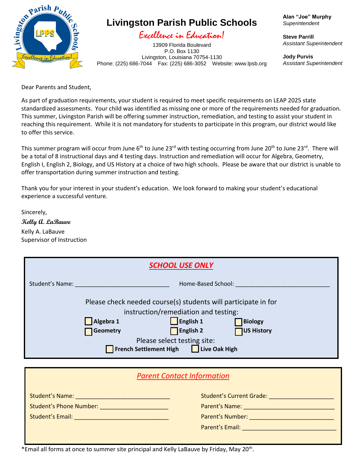

## **Livingston Parish Public Schools**

#### Excellence in Education!

13909 Florida Boulevard P.O. Box 1130 Livingston, Louisiana 70754-1130 Phone: (225) 686-7044 Fax: (225) 686-3052 Website: www.lpsb.org **Alan "Joe" Murphy** *Superintendent*

**Steve Parrill** *Assistant Superintendent*

**Jody Purvis** *Assistant Superintendent*

Dear Parents and Student,

As part of graduation requirements, your student is required to meet specific requirements on LEAP 2025 state standardized assessments. Your child was identified as missing one or more of the requirements needed for graduation. This summer, Livingston Parish will be offering summer instruction, remediation, and testing to assist your student in reaching this requirement. While it is not mandatory for students to participate in this program, our district would like to offer this service.

This summer program will occur from June 6<sup>th</sup> to June 23<sup>rd</sup> with testing occurring from June 20<sup>th</sup> to June 23<sup>rd</sup>. There will be a total of 8 instructional days and 4 testing days. Instruction and remediation will occur for Algebra, Geometry, English I, English 2, Biology, and US History at a choice of two high schools. Please be aware that our district is unable to offer transportation during summer instruction and testing.

Thank you for your interest in your student's education. We look forward to making your student's educational experience a successful venture.

Sincerely, **Kelly A. LaBauve** Kelly A. LaBauve Supervisor of Instruction

| <b>SCHOOL USE ONLY</b> |                                                                                                                                                                                                                                                                                       |  |  |  |  |  |  |
|------------------------|---------------------------------------------------------------------------------------------------------------------------------------------------------------------------------------------------------------------------------------------------------------------------------------|--|--|--|--|--|--|
| <b>Student's Name:</b> | Home-Based School:                                                                                                                                                                                                                                                                    |  |  |  |  |  |  |
|                        | Please check needed course(s) students will participate in for<br>instruction/remediation and testing:<br>English 1<br>Algebra 1<br><b>Biology</b><br><b>English 2</b><br><b>US History</b><br><b>Geometry</b><br>Please select testing site:<br>French Settlement High Live Oak High |  |  |  |  |  |  |
|                        | <b>Parent Contact Information</b>                                                                                                                                                                                                                                                     |  |  |  |  |  |  |

|  | <b>Student's Email:</b> |  |
|--|-------------------------|--|
|  |                         |  |

| <b>Student's Name:</b>         | <b>Student's Current Grade:</b> |  |  |
|--------------------------------|---------------------------------|--|--|
| <b>Student's Phone Number:</b> | Parent's Name:                  |  |  |
| Student's Email:               | Parent's Number:                |  |  |
|                                | <b>Parent's Email:</b>          |  |  |
|                                |                                 |  |  |

\*Email all forms at once to summer site principal and Kelly LaBauve by Friday, May 20<sup>th</sup>.